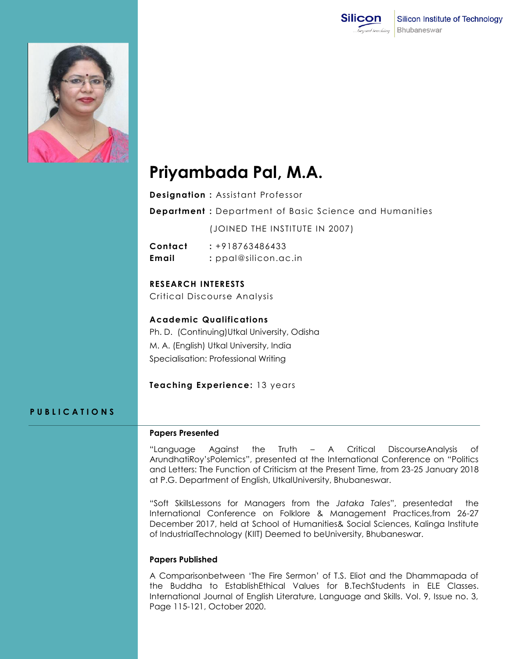



# **Priyambada Pal, M.A.**

- **Designation :** Assistant Professor
- **Department :** Department of Basic Science and Humanities

(JOINED THE INSTITUTE IN 2007)

**Contact :** +918763486433 **Email :** ppal@silicon.ac.in

**RESEARCH INTERESTS**

Critical Discourse Analysis

**Academic Qualifications** Ph. D. (Continuing)Utkal University, Odisha M. A. (English) Utkal University, India Specialisation: Professional Writing

**Teaching Experience:** 13 years

## **P U B L I C A T I O N S**

#### **Papers Presented**

"Language Against the Truth – A Critical DiscourseAnalysis of ArundhatiRoy'sPolemics", presented at the International Conference on "Politics and Letters: The Function of Criticism at the Present Time, from 23-25 January 2018 at P.G. Department of English, UtkalUniversity, Bhubaneswar.

"Soft SkillsLessons for Managers from the *Jataka Tale*s", presentedat the International Conference on Folklore & Management Practices,from 26-27 December 2017, held at School of Humanities& Social Sciences, Kalinga Institute of IndustrialTechnology (KIIT) Deemed to beUniversity, Bhubaneswar.

### **Papers Published**

A Comparisonbetween 'The Fire Sermon' of T.S. Eliot and the Dhammapada of the Buddha to EstablishEthical Values for B.TechStudents in ELE Classes. International Journal of English Literature, Language and Skills. Vol. 9, Issue no. 3, Page 115-121, October 2020.